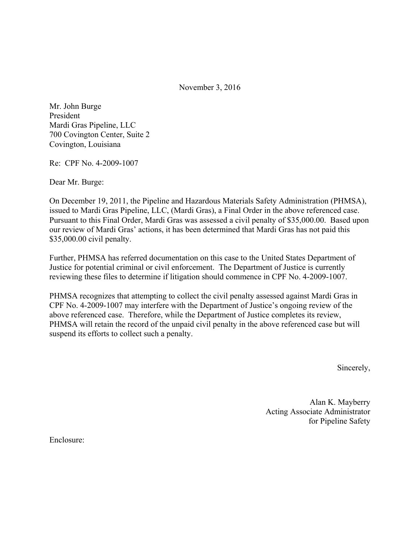November 3, 2016

Mr. John Burge President Mardi Gras Pipeline, LLC 700 Covington Center, Suite 2 Covington, Louisiana

Re: CPF No. 4-2009-1007

Dear Mr. Burge:

On December 19, 2011, the Pipeline and Hazardous Materials Safety Administration (PHMSA), issued to Mardi Gras Pipeline, LLC, (Mardi Gras), a Final Order in the above referenced case. Pursuant to this Final Order, Mardi Gras was assessed a civil penalty of \$35,000.00. Based upon our review of Mardi Gras' actions, it has been determined that Mardi Gras has not paid this \$35,000.00 civil penalty.

Further, PHMSA has referred documentation on this case to the United States Department of Justice for potential criminal or civil enforcement. The Department of Justice is currently reviewing these files to determine if litigation should commence in CPF No. 4-2009-1007.

PHMSA recognizes that attempting to collect the civil penalty assessed against Mardi Gras in CPF No. 4-2009-1007 may interfere with the Department of Justice's ongoing review of the above referenced case. Therefore, while the Department of Justice completes its review, PHMSA will retain the record of the unpaid civil penalty in the above referenced case but will suspend its efforts to collect such a penalty.

Sincerely,

Alan K. Mayberry Acting Associate Administrator for Pipeline Safety

Enclosure: